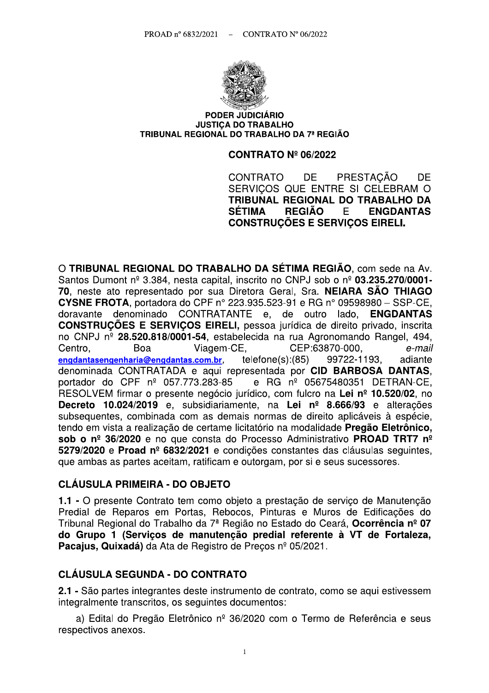

#### **PODER JUDICIÁRIO JUSTICA DO TRABALHO** TRIBUNAL REGIONAL DO TRABALHO DA 7ª REGIÃO

#### **CONTRATO Nº 06/2022**

PRESTACÃO CONTRATO DF. **DF** SERVICOS QUE ENTRE SI CELEBRAM O TRIBUNAL REGIONAL DO TRABALHO DA **SÉTIMA REGIÃO** E. **ENGDANTAS CONSTRUCÕES E SERVICOS EIRELI.** 

O TRIBUNAL REGIONAL DO TRABALHO DA SÉTIMA REGIÃO, com sede na Av. Santos Dumont nº 3.384, nesta capital, inscrito no CNPJ sob o nº 03.235.270/0001-70, neste ato representado por sua Diretora Geral, Sra. NEIARA SÃO THIAGO **CYSNE FROTA.** portadora do CPF nº 223.935.523-91 e RG nº 09598980 - SSP-CE. doravante denominado CONTRATANTE e, de outro lado, **ENGDANTAS CONSTRUÇÕES E SERVIÇOS EIRELI, pessoa jurídica de direito privado, inscrita** no CNPJ nº 28.520.818/0001-54, estabelecida na rua Agronomando Rangel, 494, CEP:63870-000, Centro. Boa Viagem-CE, e-mail  $telfone(s):(85)$ engdantasengenharia@engdantas.com.br. 99722-1193. adiante denominada CONTRATADA e aqui representada por CID BARBOSA DANTAS. portador do CPF nº 057.773.283-85 e RG nº 05675480351 DETRAN-CE, RESOLVEM firmar o presente negócio jurídico, com fulcro na Lei nº 10.520/02, no Decreto 10.024/2019 e, subsidiariamente, na Lei nº 8.666/93 e alterações subsequentes, combinada com as demais normas de direito aplicáveis à espécie, tendo em vista a realização de certame licitatório na modalidade Pregão Eletrônico, sob o nº 36/2020 e no que consta do Processo Administrativo PROAD TRT7 nº 5279/2020 e Proad nº 6832/2021 e condições constantes das cláusulas seguintes. que ambas as partes aceitam, ratificam e outorgam, por si e seus sucessores.

#### **CLÁUSULA PRIMEIRA - DO OBJETO**

1.1 - O presente Contrato tem como obieto a prestação de servico de Manutenção Predial de Reparos em Portas, Rebocos, Pinturas e Muros de Edificações do Tribunal Regional do Trabalho da 7ª Região no Estado do Ceará, Ocorrência nº 07 do Grupo 1 (Serviços de manutenção predial referente à VT de Fortaleza, Pacaius. Quixadá) da Ata de Registro de Precos nº 05/2021.

#### **CLÁUSULA SEGUNDA - DO CONTRATO**

2.1 - São partes integrantes deste instrumento de contrato, como se aqui estivessem integralmente transcritos, os seguintes documentos:

a) Edital do Pregão Eletrônico nº 36/2020 com o Termo de Referência e seus respectivos anexos.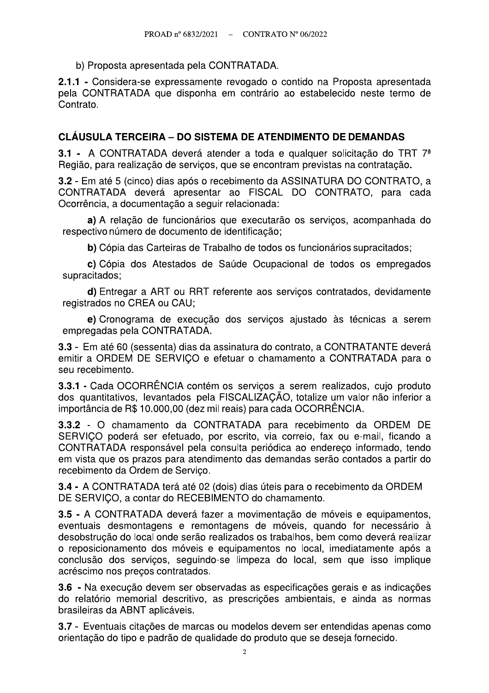b) Proposta apresentada pela CONTRATADA.

2.1.1 - Considera-se expressamente revogado o contido na Proposta apresentada pela CONTRATADA que disponha em contrário ao estabelecido neste termo de Contrato.

#### **CLÁUSULA TERCEIRA – DO SISTEMA DE ATENDIMENTO DE DEMANDAS**

3.1 - A CONTRATADA deverá atender a toda e qualquer solicitação do TRT 7<sup>ª</sup> Região, para realização de serviços, que se encontram previstas na contratação.

3.2 - Em até 5 (cinco) dias após o recebimento da ASSINATURA DO CONTRATO, a CONTRATADA deverá apresentar ao FISCAL DO CONTRATO, para cada Ocorrência, a documentação a seguir relacionada:

a) A relação de funcionários que executarão os serviços, acompanhada do respectivo número de documento de identificação;

b) Cópia das Carteiras de Trabalho de todos os funcionários supracitados;

c) Cópia dos Atestados de Saúde Ocupacional de todos os empregados supracitados;

d) Entregar a ART ou RRT referente aos serviços contratados, devidamente registrados no CREA ou CAU:

e) Cronograma de execução dos serviços ajustado às técnicas a serem empregadas pela CONTRATADA.

3.3 - Em até 60 (sessenta) dias da assinatura do contrato, a CONTRATANTE deverá emitir a ORDEM DE SERVICO e efetuar o chamamento a CONTRATADA para o seu recebimento.

3.3.1 - Cada OCORRÊNCIA contém os servicos a serem realizados, cujo produto dos quantitativos, levantados pela FISCALIZAÇÃO, totalize um valor não inferior a importância de R\$ 10.000,00 (dez mil reais) para cada OCORRÊNCIA.

3.3.2 - O chamamento da CONTRATADA para recebimento da ORDEM DE SERVICO poderá ser efetuado, por escrito, via correio, fax ou e-mail, ficando a CONTRATADA responsável pela consulta periódica ao endereco informado, tendo em vista que os prazos para atendimento das demandas serão contados a partir do recebimento da Ordem de Serviço.

3.4 - A CONTRATADA terá até 02 (dois) dias úteis para o recebimento da ORDEM DE SERVIÇO, a contar do RECEBIMENTO do chamamento.

3.5 - A CONTRATADA deverá fazer a movimentação de móveis e equipamentos, eventuais desmontagens e remontagens de móveis, quando for necessário à desobstrução do local onde serão realizados os trabalhos, bem como deverá realizar o reposicionamento dos móveis e equipamentos no local, imediatamente após a conclusão dos serviços, seguindo-se limpeza do local, sem que isso implique acréscimo nos preços contratados.

3.6 - Na execução devem ser observadas as especificações gerais e as indicações do relatório memorial descritivo, as prescrições ambientais, e ainda as normas brasileiras da ABNT aplicáveis.

3.7 - Eventuais citações de marcas ou modelos devem ser entendidas apenas como orientação do tipo e padrão de qualidade do produto que se deseja fornecido.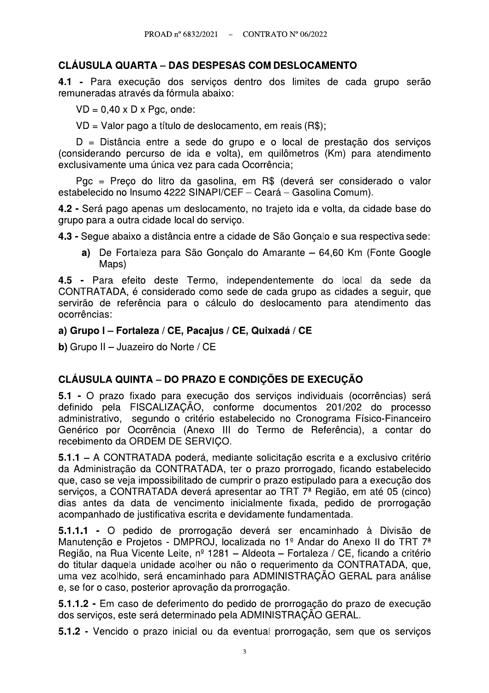### **CLÁUSULA QUARTA – DAS DESPESAS COM DESLOCAMENTO**

4.1 - Para execução dos servicos dentro dos limites de cada grupo serão remuneradas através da fórmula abaixo:

 $VD = 0.40 \times D \times Pqc$ , onde:

VD = Valor pago a título de deslocamento, em reais (R\$);

D = Distância entre a sede do grupo e o local de prestação dos serviços (considerando percurso de ida e volta), em quilômetros (Km) para atendimento exclusivamente uma única vez para cada Ocorrência;

Pgc = Preço do litro da gasolina, em R\$ (deverá ser considerado o valor estabelecido no Insumo 4222 SINAPI/CEF - Ceará - Gasolina Comum).

4.2 - Será pago apenas um deslocamento, no trajeto ida e volta, da cidade base do grupo para a outra cidade local do serviço.

4.3 - Segue abaixo a distância entre a cidade de São Gonçalo e sua respectiva sede:

a) De Fortaleza para São Goncalo do Amarante – 64,60 Km (Fonte Google Maps)

4.5 - Para efeito deste Termo, independentemente do local da sede da CONTRATADA, é considerado como sede de cada grupo as cidades a seguir, que servirão de referência para o cálculo do deslocamento para atendimento das ocorrências:

#### a) Grupo I - Fortaleza / CE, Pacaius / CE, Quixadá / CE

b) Grupo II - Juazeiro do Norte / CE

## **CLÁUSULA QUINTA – DO PRAZO E CONDICÕES DE EXECUCÃO**

5.1 - O prazo fixado para execução dos serviços individuais (ocorrências) será definido pela FISCALIZAÇÃO, conforme documentos 201/202 do processo administrativo, segundo o critério estabelecido no Cronograma Físico-Financeiro Genérico por Ocorrência (Anexo III do Termo de Referência), a contar do recebimento da ORDEM DE SERVIÇO.

5.1.1 – A CONTRATADA poderá, mediante solicitação escrita e a exclusivo critério da Administração da CONTRATADA, ter o prazo prorrogado, ficando estabelecido que, caso se veja impossibilitado de cumprir o prazo estipulado para a execução dos servicos, a CONTRATADA deverá apresentar ao TRT 7<sup>ª</sup> Região, em até 05 (cinco) dias antes da data de vencimento inicialmente fixada, pedido de prorrogação acompanhado de justificativa escrita e devidamente fundamentada.

5.1.1.1 - O pedido de prorrogação deverá ser encaminhado à Divisão de Manutenção e Projetos - DMPROJ, localizada no 1º Andar do Anexo II do TRT 7<sup>ª</sup> Região, na Rua Vicente Leite, nº 1281 - Aldeota - Fortaleza / CE, ficando a critério do titular daquela unidade acolher ou não o requerimento da CONTRATADA, que, uma vez acolhido, será encaminhado para ADMINISTRACÃO GERAL para análise e, se for o caso, posterior aprovação da prorrogação.

5.1.1.2 - Em caso de deferimento do pedido de prorrogação do prazo de execução dos serviços, este será determinado pela ADMINISTRAÇÃO GERAL.

5.1.2 - Vencido o prazo inicial ou da eventual prorrogação, sem que os serviços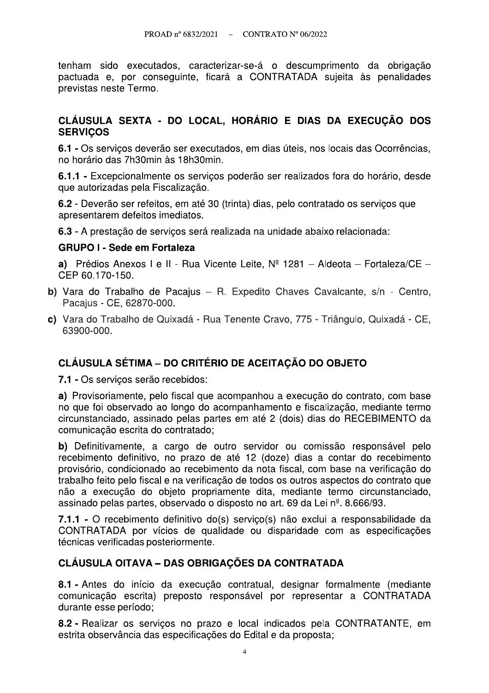tenham sido executados, caracterizar-se-á o descumprimento da obrigação pactuada e, por conseguinte, ficará a CONTRATADA sujeita às penalidades previstas neste Termo.

#### CLÁUSULA SEXTA - DO LOCAL, HORÁRIO E DIAS DA EXECUÇÃO DOS **SERVICOS**

6.1 - Os servicos deverão ser executados, em dias úteis, nos locais das Ocorrências, no horário das 7h30min às 18h30min.

6.1.1 - Excepcionalmente os servicos poderão ser realizados fora do horário, desde que autorizadas pela Fiscalização.

6.2 - Deverão ser refeitos, em até 30 (trinta) dias, pelo contratado os serviços que apresentarem defeitos imediatos.

6.3 - A prestação de servicos será realizada na unidade abaixo relacionada:

#### **GRUPO I - Sede em Fortaleza**

a) Prédios Anexos I e II - Rua Vicente Leite,  $N^{\circ}$  1281 - Aldeota - Fortaleza/CE -CEP 60.170-150.

- b) Vara do Trabalho de Pacajus R. Expedito Chaves Cavalcante, s/n Centro, Pacaius - CE, 62870-000.
- c) Vara do Trabalho de Quixadá Rua Tenente Cravo, 775 Triângulo, Quixadá CE, 63900-000

## **CLÁUSULA SÉTIMA – DO CRITÉRIO DE ACEITAÇÃO DO OBJETO**

7.1 - Os serviços serão recebidos:

a) Provisoriamente, pelo fiscal que acompanhou a execução do contrato, com base no que foi observado ao longo do acompanhamento e fiscalização, mediante termo circunstanciado, assinado pelas partes em até 2 (dois) dias do RECEBIMENTO da comunicação escrita do contratado;

b) Definitivamente, a cargo de outro servidor ou comissão responsável pelo recebimento definitivo, no prazo de até 12 (doze) dias a contar do recebimento provisório, condicionado ao recebimento da nota fiscal, com base na verificação do trabalho feito pelo fiscal e na verificação de todos os outros aspectos do contrato que não a execução do objeto propriamente dita, mediante termo circunstanciado. assinado pelas partes, observado o disposto no art. 69 da Lei nº, 8,666/93.

7.1.1 - O recebimento definitivo do(s) servico(s) não exclui a responsabilidade da CONTRATADA por vícios de qualidade ou disparidade com as especificações técnicas verificadas posteriormente.

#### **CLÁUSULA OITAVA – DAS OBRIGAÇÕES DA CONTRATADA**

8.1 - Antes do início da execução contratual, designar formalmente (mediante comunicação escrita) preposto responsável por representar a CONTRATADA durante esse período;

8.2 - Realizar os serviços no prazo e local indicados pela CONTRATANTE, em estrita observância das especificações do Edital e da proposta;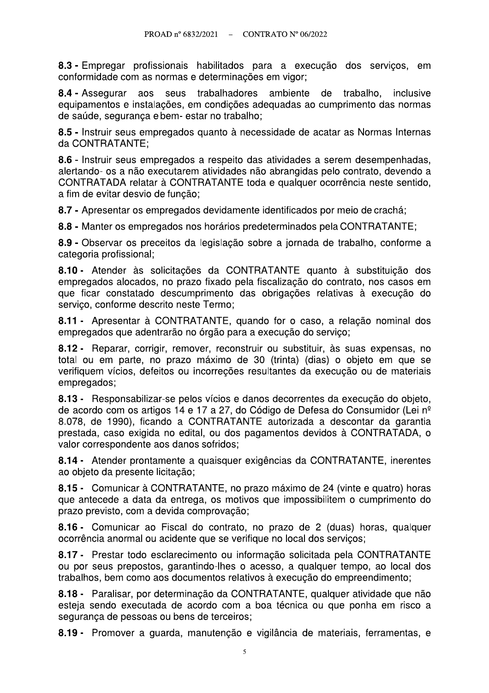8.3 - Empregar profissionais habilitados para a execução dos serviços, em conformidade com as normas e determinações em vigor;

seus trabalhadores ambiente de trabalho, 8.4 - Assegurar aos inclusive equipamentos e instalações, em condições adequadas ao cumprimento das normas de saúde, segurança e bem- estar no trabalho;

8.5 - Instruir seus empregados quanto à necessidade de acatar as Normas Internas da CONTRATANTE:

8.6 - Instruir seus empregados a respeito das atividades a serem desempenhadas, alertando- os a não executarem atividades não abrangidas pelo contrato, devendo a CONTRATADA relatar à CONTRATANTE toda e qualquer ocorrência neste sentido, a fim de evitar desvio de funcão:

8.7 - Apresentar os empregados devidamente identificados por meio de crachá:

8.8 - Manter os empregados nos horários predeterminados pela CONTRATANTE;

8.9 - Observar os preceitos da legislação sobre a jornada de trabalho, conforme a categoria profissional;

8.10 - Atender às solicitações da CONTRATANTE quanto à substituição dos empregados alocados, no prazo fixado pela fiscalização do contrato, nos casos em que ficar constatado descumprimento das obrigações relativas à execução do servico, conforme descrito neste Termo:

8.11 - Apresentar à CONTRATANTE, quando for o caso, a relação nominal dos empregados que adentrarão no órgão para a execução do serviço;

8.12 - Reparar, corrigir, remover, reconstruir ou substituir, às suas expensas, no total ou em parte, no prazo máximo de 30 (trinta) (dias) o objeto em que se verifiquem vícios, defeitos ou incorreções resultantes da execução ou de materiais empregados;

8.13 - Responsabilizar-se pelos vícios e danos decorrentes da execução do objeto, de acordo com os artigos 14 e 17 a 27, do Código de Defesa do Consumidor (Lei nº 8.078, de 1990), ficando a CONTRATANTE autorizada a descontar da garantia prestada, caso exigida no edital, ou dos pagamentos devidos à CONTRATADA, o valor correspondente aos danos sofridos;

8.14 - Atender prontamente a quaisquer exigências da CONTRATANTE, inerentes ao objeto da presente licitação;

8.15 - Comunicar à CONTRATANTE, no prazo máximo de 24 (vinte e quatro) horas que antecede a data da entrega, os motivos que impossibilitem o cumprimento do prazo previsto, com a devida comprovação;

8.16 - Comunicar ao Fiscal do contrato, no prazo de 2 (duas) horas, qualquer ocorrência anormal ou acidente que se verifique no local dos servicos;

8.17 - Prestar todo esclarecimento ou informação solicitada pela CONTRATANTE ou por seus prepostos, garantindo-lhes o acesso, a qualquer tempo, ao local dos trabalhos, bem como aos documentos relativos à execução do empreendimento:

8.18 - Paralisar, por determinação da CONTRATANTE, qualquer atividade que não esteja sendo executada de acordo com a boa técnica ou que ponha em risco a segurança de pessoas ou bens de terceiros;

8.19 - Promover a guarda, manutenção e vigilância de materiais, ferramentas, e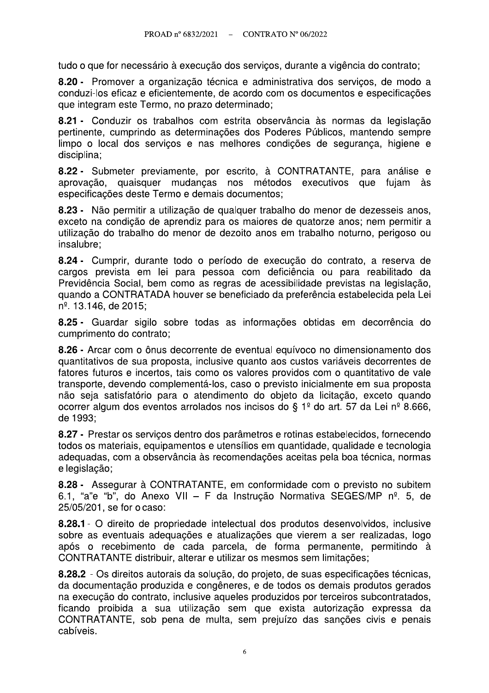tudo o que for necessário à execução dos serviços, durante a vigência do contrato;

8.20 - Promover a organização técnica e administrativa dos servicos, de modo a conduzi-los eficaz e eficientemente, de acordo com os documentos e especificações que integram este Termo, no prazo determinado;

8.21 - Conduzir os trabalhos com estrita observância às normas da legislação pertinente, cumprindo as determinações dos Poderes Públicos, mantendo sempre limpo o local dos servicos e nas melhores condições de segurança, higiene e disciplina:

8.22 - Submeter previamente, por escrito, à CONTRATANTE, para análise e aprovação, quaisquer mudanças nos métodos executivos que fujam às especificações deste Termo e demais documentos:

8.23 - Não permitir a utilização de qualquer trabalho do menor de dezesseis anos. exceto na condição de aprendiz para os maiores de quatorze anos; nem permitir a utilizacão do trabalho do menor de dezoito anos em trabalho noturno, perigoso ou insalubre:

8.24 - Cumprir, durante todo o período de execução do contrato, a reserva de cargos prevista em lei para pessoa com deficiência ou para reabilitado da Previdência Social, bem como as regras de acessibilidade previstas na legislação, guando a CONTRATADA houver se beneficiado da preferência estabelecida pela Lei n<sup>o</sup>. 13.146, de 2015;

8.25 - Guardar sigilo sobre todas as informações obtidas em decorrência do cumprimento do contrato;

8.26 - Arcar com o ônus decorrente de eventual equívoco no dimensionamento dos quantitativos de sua proposta, inclusive quanto aos custos variáveis decorrentes de fatores futuros e incertos, tais como os valores providos com o quantitativo de vale transporte, devendo complementá-los, caso o previsto inicialmente em sua proposta não seja satisfatório para o atendimento do objeto da licitação, exceto quando ocorrer algum dos eventos arrolados nos incisos do § 1<sup>º</sup> do art. 57 da Lei nº 8.666, de 1993:

8.27 - Prestar os serviços dentro dos parâmetros e rotinas estabelecidos, fornecendo todos os materiais, equipamentos e utensílios em quantidade, qualidade e tecnologia adequadas, com a observância às recomendações aceitas pela boa técnica, normas e legislação;

8.28 - Assegurar à CONTRATANTE, em conformidade com o previsto no subitem 6.1, "a"e "b", do Anexo VII - F da Instrução Normativa SEGES/MP nº. 5, de 25/05/201, se for o caso:

8.28.1 - O direito de propriedade intelectual dos produtos desenvolvidos, inclusive sobre as eventuais adequações e atualizações que vierem a ser realizadas, logo após o recebimento de cada parcela, de forma permanente, permitindo à CONTRATANTE distribuir, alterar e utilizar os mesmos sem limitações;

8.28.2 - Os direitos autorais da solução, do projeto, de suas especificações técnicas, da documentação produzida e congêneres, e de todos os demais produtos gerados na execução do contrato, inclusive aqueles produzidos por terceiros subcontratados, ficando proibida a sua utilização sem que exista autorização expressa da CONTRATANTE, sob pena de multa, sem prejuízo das sanções civis e penais cabíveis.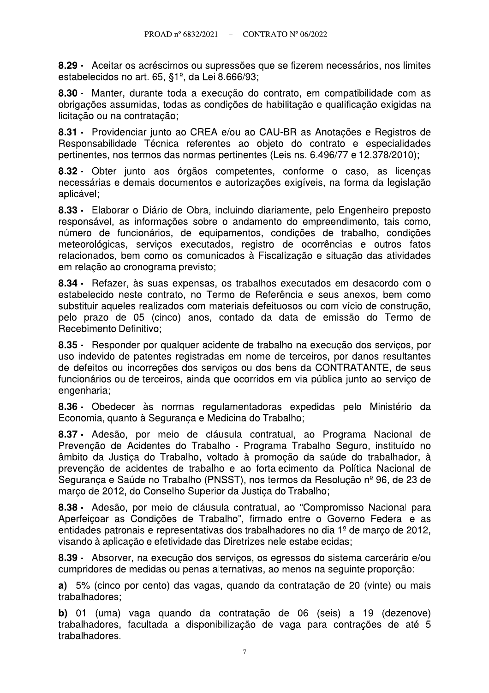8.29 - Aceitar os acréscimos ou supressões que se fizerem necessários, nos limites estabelecidos no art. 65, §1º, da Lei 8.666/93;

8.30 - Manter, durante toda a execução do contrato, em compatibilidade com as obrigações assumidas, todas as condições de habilitação e qualificação exigidas na licitação ou na contratação;

8.31 - Providenciar junto ao CREA e/ou ao CAU-BR as Anotações e Registros de Responsabilidade Técnica referentes ao objeto do contrato e especialidades pertinentes, nos termos das normas pertinentes (Leis ns. 6.496/77 e 12.378/2010);

8.32 - Obter junto aos órgãos competentes, conforme o caso, as licenças necessárias e demais documentos e autorizações exigíveis, na forma da legislação aplicável:

8.33 - Elaborar o Diário de Obra, incluindo diariamente, pelo Engenheiro preposto responsável, as informações sobre o andamento do empreendimento, tais como, número de funcionários, de equipamentos, condições de trabalho, condições meteorológicas, servicos executados, registro de ocorrências e outros fatos relacionados, bem como os comunicados à Fiscalização e situação das atividades em relação ao cronograma previsto;

8.34 - Refazer, às suas expensas, os trabalhos executados em desacordo com o estabelecido neste contrato, no Termo de Referência e seus anexos, bem como substituir aqueles realizados com materiais defeituosos ou com vício de construção. pelo prazo de 05 (cinco) anos, contado da data de emissão do Termo de Recebimento Definitivo;

8.35 - Responder por qualquer acidente de trabalho na execução dos serviços, por uso indevido de patentes registradas em nome de terceiros, por danos resultantes de defeitos ou incorreções dos serviços ou dos bens da CONTRATANTE, de seus funcionários ou de terceiros, ainda que ocorridos em via pública junto ao serviço de engenharia;

8.36 - Obedecer às normas regulamentadoras expedidas pelo Ministério da Economia, quanto à Segurança e Medicina do Trabalho;

8.37 - Adesão, por meio de cláusula contratual, ao Programa Nacional de Prevenção de Acidentes do Trabalho - Programa Trabalho Seguro, instituído no âmbito da Justica do Trabalho, voltado à promoção da saúde do trabalhador, à prevenção de acidentes de trabalho e ao fortalecimento da Política Nacional de Segurança e Saúde no Trabalho (PNSST), nos termos da Resolução nº 96, de 23 de marco de 2012, do Conselho Superior da Justica do Trabalho:

8.38 - Adesão, por meio de cláusula contratual, ao "Compromisso Nacional para Aperfeicoar as Condições de Trabalho", firmado entre o Governo Federal e as entidades patronais e representativas dos trabalhadores no dia 1<sup>º</sup> de marco de 2012. visando à aplicação e efetividade das Diretrizes nele estabelecidas;

8.39 - Absorver, na execução dos serviços, os egressos do sistema carcerário e/ou cumpridores de medidas ou penas alternativas, ao menos na seguinte proporção:

a) 5% (cinco por cento) das vagas, quando da contratação de 20 (vinte) ou mais trabalhadores;

b) 01 (uma) vaga guando da contratação de 06 (seis) a 19 (dezenove) trabalhadores, facultada a disponibilização de vaga para contrações de até 5 trabalhadores.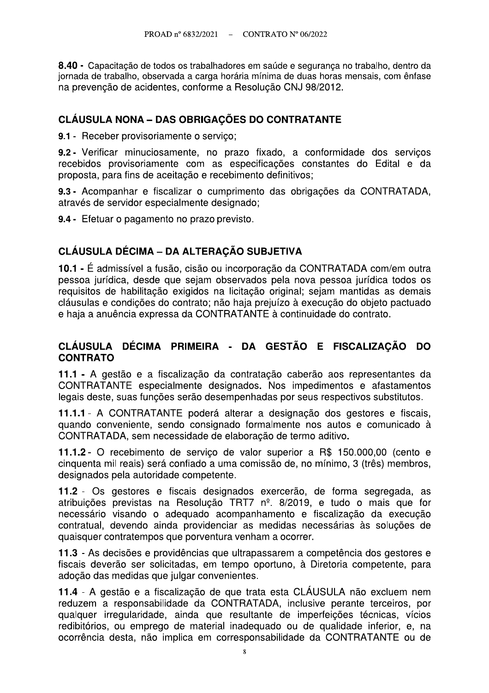8.40 - Capacitação de todos os trabalhadores em saúde e segurança no trabalho, dentro da jornada de trabalho, observada a carga horária mínima de duas horas mensais, com ênfase na prevenção de acidentes, conforme a Resolução CNJ 98/2012.

## **CLÁUSULA NONA - DAS OBRIGAÇÕES DO CONTRATANTE**

9.1 - Receber provisoriamente o servico;

9.2 - Verificar minuciosamente, no prazo fixado, a conformidade dos serviços recebidos provisoriamente com as especificações constantes do Edital e da proposta, para fins de aceitação e recebimento definitivos;

9.3 - Acompanhar e fiscalizar o cumprimento das obrigações da CONTRATADA, através de servidor especialmente designado;

9.4 - Efetuar o pagamento no prazo previsto.

# **CLÁUSULA DÉCIMA - DA ALTERAÇÃO SUBJETIVA**

10.1 - É admissível a fusão, cisão ou incorporação da CONTRATADA com/em outra pessoa jurídica, desde que sejam observados pela nova pessoa jurídica todos os requisitos de habilitação exigidos na licitação original; sejam mantidas as demais cláusulas e condições do contrato: não haja prejuízo à execução do objeto pactuado e haja a anuência expressa da CONTRATANTE à continuidade do contrato.

#### CLÁUSULA DÉCIMA PRIMEIRA - DA GESTÃO E FISCALIZAÇÃO DO **CONTRATO**

11.1 - A gestão e a fiscalização da contratação caberão aos representantes da CONTRATANTE especialmente designados. Nos impedimentos e afastamentos legais deste, suas funções serão desempenhadas por seus respectivos substitutos.

11.1.1 - A CONTRATANTE poderá alterar a designação dos gestores e fiscais, quando conveniente, sendo consignado formalmente nos autos e comunicado à CONTRATADA, sem necessidade de elaboração de termo aditivo.

11.1.2 - O recebimento de serviço de valor superior a R\$ 150.000,00 (cento e cinquenta mil reais) será confiado a uma comissão de, no mínimo, 3 (três) membros, designados pela autoridade competente.

11.2 - Os gestores e fiscais designados exercerão, de forma segregada, as atribuições previstas na Resolução TRT7 nº. 8/2019, e tudo o mais que for necessário visando o adequado acompanhamento e fiscalização da execução contratual, devendo ainda providenciar as medidas necessárias às soluções de quaisquer contratempos que porventura venham a ocorrer.

11.3 - As decisões e providências que ultrapassarem a competência dos gestores e fiscais deverão ser solicitadas, em tempo oportuno, à Diretoria competente, para adoção das medidas que julgar convenientes.

11.4 - A gestão e a fiscalização de que trata esta CLÁUSULA não excluem nem reduzem a responsabilidade da CONTRATADA, inclusive perante terceiros, por qualquer irregularidade, ainda que resultante de imperfeições técnicas, vícios redibitórios, ou emprego de material inadeguado ou de qualidade inferior, e, na ocorrência desta, não implica em corresponsabilidade da CONTRATANTE ou de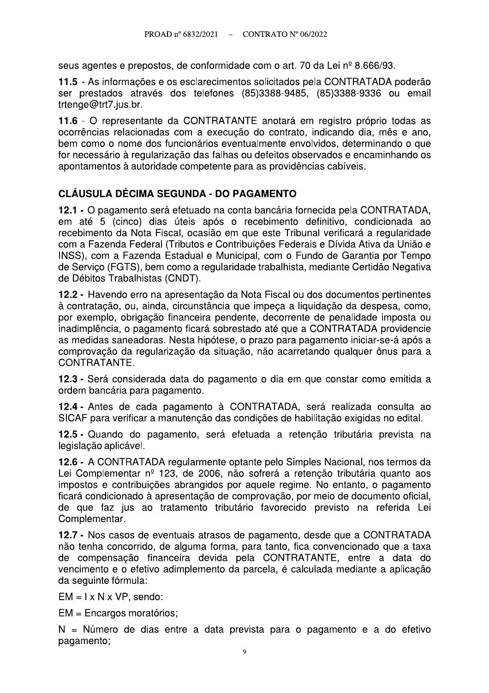seus agentes e prepostos, de conformidade com o art. 70 da Lei nº 8.666/93.

11.5 - As informações e os esclarecimentos solicitados pela CONTRATADA poderão ser prestados através dos telefones (85)3388-9485, (85)3388-9336 ou email trtenge@trt7.jus.br.

11.6 - O representante da CONTRATANTE anotará em registro próprio todas as ocorrências relacionadas com a execução do contrato, indicando dia, mês e ano, bem como o nome dos funcionários eventualmente envolvidos, determinando o que for necessário à regularização das falhas ou defeitos observados e encaminhando os apontamentos à autoridade competente para as providências cabíveis.

## **CLÁUSULA DÉCIMA SEGUNDA - DO PAGAMENTO**

12.1 - O pagamento será efetuado na conta bancária fornecida pela CONTRATADA, em até 5 (cinco) dias úteis após o recebimento definitivo, condicionada ao recebimento da Nota Fiscal, ocasião em que este Tribunal verificará a regularidade com a Fazenda Federal (Tributos e Contribuições Federais e Dívida Ativa da União e INSS), com a Fazenda Estadual e Municipal, com o Fundo de Garantia por Tempo de Servico (FGTS), bem como a regularidade trabalhista, mediante Certidão Negativa de Débitos Trabalhistas (CNDT).

12.2 - Havendo erro na apresentação da Nota Fiscal ou dos documentos pertinentes à contratação, ou, ainda, circunstância que impeça a liquidação da despesa, como, por exemplo, obrigação financeira pendente, decorrente de penalidade imposta ou inadimplência, o pagamento ficará sobrestado até que a CONTRATADA providencie as medidas saneadoras. Nesta hipótese, o prazo para pagamento iniciar-se-á após a comprovação da regularização da situação, não acarretando qualquer ônus para a CONTRATANTE.

12.3 - Será considerada data do pagamento o dia em que constar como emitida a ordem bancária para pagamento.

12.4 - Antes de cada pagamento à CONTRATADA, será realizada consulta ao SICAF para verificar a manutenção das condições de habilitação exigidas no edital.

12.5 - Quando do pagamento, será efetuada a retenção tributária prevista na legislação aplicável.

12.6 - A CONTRATADA regularmente optante pelo Simples Nacional, nos termos da Lei Complementar nº 123, de 2006, não sofrerá a retenção tributária quanto aos impostos e contribuições abrangidos por aquele regime. No entanto, o pagamento ficará condicionado à apresentação de comprovação, por meio de documento oficial, de que faz jus ao tratamento tributário favorecido previsto na referida Lei Complementar.

12.7 - Nos casos de eventuais atrasos de pagamento, desde que a CONTRATADA não tenha concorrido, de alguma forma, para tanto, fica convencionado que a taxa de compensação financeira devida pela CONTRATANTE, entre a data do vencimento e o efetivo adimplemento da parcela, é calculada mediante a aplicação da seguinte fórmula:

 $EM = I \times N \times VP$ , sendo:

EM = Encargos moratórios;

N = Número de dias entre a data prevista para o pagamento e a do efetivo pagamento;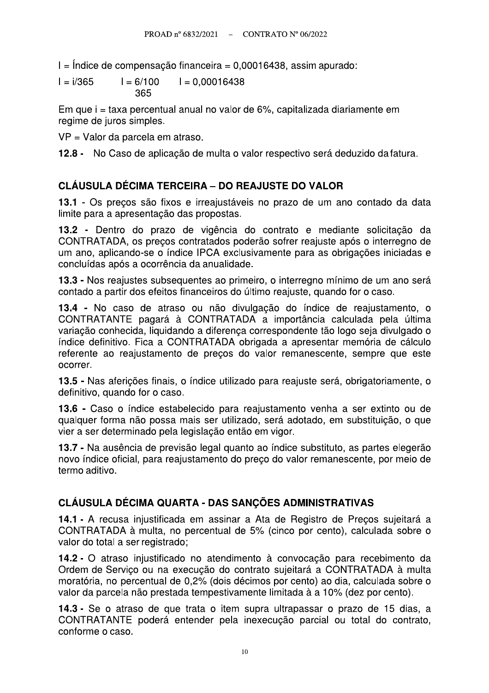$I =$  Indice de compensação financeira = 0,00016438, assim apurado:

$$
I = i/365 \qquad I = 6/100 \qquad I = 0,00016438
$$

$$
365
$$

Em que i = taxa percentual anual no valor de 6%, capitalizada diariamente em regime de juros simples.

VP = Valor da parcela em atraso.

12.8 - No Caso de aplicação de multa o valor respectivo será deduzido da fatura.

### **CLÁUSULA DÉCIMA TERCEIRA – DO REAJUSTE DO VALOR**

13.1 - Os preços são fixos e irreajustáveis no prazo de um ano contado da data limite para a apresentação das propostas.

13.2 - Dentro do prazo de vigência do contrato e mediante solicitação da CONTRATADA, os preços contratados poderão sofrer reajuste após o interregno de um ano, aplicando-se o índice IPCA exclusivamente para as obrigações iniciadas e concluídas após a ocorrência da anualidade.

13.3 - Nos reajustes subsequentes ao primeiro, o interregno mínimo de um ano será contado a partir dos efeitos financeiros do último reajuste, quando for o caso.

13.4 - No caso de atraso ou não divulgação do índice de reajustamento, o CONTRATANTE pagará à CONTRATADA a importância calculada pela última variação conhecida, liquidando a diferenca correspondente tão logo seja divulgado o índice definitivo. Fica a CONTRATADA obrigada a apresentar memória de cálculo referente ao reajustamento de precos do valor remanescente, sempre que este ocorrer.

13.5 - Nas aferições finais, o índice utilizado para reajuste será, obrigatoriamente, o definitivo, quando for o caso.

13.6 - Caso o índice estabelecido para reajustamento venha a ser extinto ou de qualquer forma não possa mais ser utilizado, será adotado, em substituição, o que vier a ser determinado pela legislação então em vigor.

13.7 - Na ausência de previsão legal quanto ao índice substituto, as partes elegerão novo índice oficial, para reajustamento do preco do valor remanescente, por mejo de termo aditivo.

## CLÁUSULA DÉCIMA QUARTA - DAS SANÇÕES ADMINISTRATIVAS

14.1 - A recusa injustificada em assinar a Ata de Registro de Precos sujeitará a CONTRATADA à multa, no percentual de 5% (cinco por cento), calculada sobre o valor do total a ser registrado;

14.2 - O atraso injustificado no atendimento à convocação para recebimento da Ordem de Serviço ou na execução do contrato sujeitará a CONTRATADA à multa moratória, no percentual de 0,2% (dois décimos por cento) ao dia, calculada sobre o valor da parcela não prestada tempestivamente limitada à a 10% (dez por cento).

14.3 - Se o atraso de que trata o item supra ultrapassar o prazo de 15 dias, a CONTRATANTE poderá entender pela inexecução parcial ou total do contrato, conforme o caso.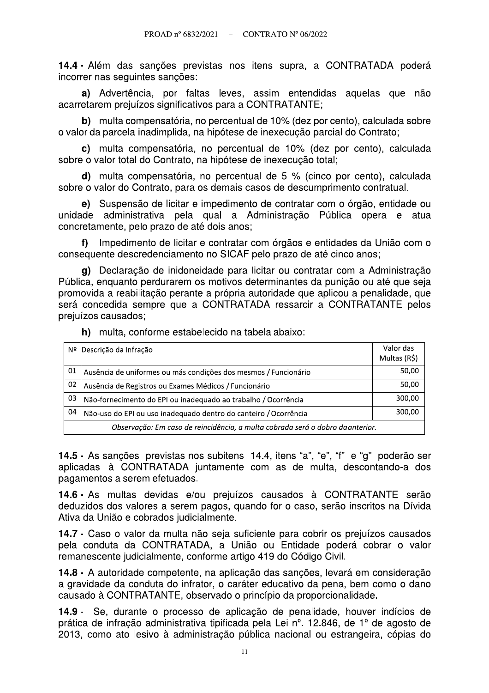14.4 - Além das sanções previstas nos itens supra, a CONTRATADA poderá incorrer nas seguintes sanções:

a) Advertência, por faltas leves, assim entendidas aquelas que não acarretarem preiuízos significativos para a CONTRATANTE:

b) multa compensatória, no percentual de 10% (dez por cento), calculada sobre o valor da parcela inadimplida, na hipótese de inexecução parcial do Contrato;

c) multa compensatória, no percentual de 10% (dez por cento), calculada sobre o valor total do Contrato, na hipótese de inexecução total;

d) multa compensatória, no percentual de 5 % (cinco por cento), calculada sobre o valor do Contrato, para os demais casos de descumprimento contratual.

e) Suspensão de licitar e impedimento de contratar com o órgão, entidade ou unidade administrativa pela qual a Administração Pública opera e atua concretamente, pelo prazo de até dois anos;

f) Impedimento de licitar e contratar com órgãos e entidades da União com o consequente descredenciamento no SICAF pelo prazo de até cinco anos;

g) Declaração de inidoneidade para licitar ou contratar com a Administração Pública, enquanto perdurarem os motivos determinantes da punição ou até que seja promovida a reabilitação perante a própria autoridade que aplicou a penalidade, que será concedida sempre que a CONTRATADA ressarcir a CONTRATANTE pelos prejuízos causados;

h) multa, conforme estabelecido na tabela abaixo:

| Nº                                                                             | Descrição da Infração                                            | Valor das<br>Multas (R\$) |
|--------------------------------------------------------------------------------|------------------------------------------------------------------|---------------------------|
| 01                                                                             | Ausência de uniformes ou más condições dos mesmos / Funcionário  | 50,00                     |
| 02                                                                             | Ausência de Registros ou Exames Médicos / Funcionário            | 50,00                     |
| 03                                                                             | Não-fornecimento do EPI ou inadequado ao trabalho / Ocorrência   | 300,00                    |
| 04                                                                             | Não-uso do EPI ou uso inadequado dentro do canteiro / Ocorrência | 300,00                    |
| Observação: Em caso de reincidência, a multa cobrada será o dobro da anterior. |                                                                  |                           |

14.5 - As sanções previstas nos subitens 14.4, itens "a", "e", "f" e "g" poderão ser aplicadas à CONTRATADA juntamente com as de multa, descontando-a dos pagamentos a serem efetuados.

14.6 - As multas devidas e/ou prejuízos causados à CONTRATANTE serão deduzidos dos valores a serem pagos, quando for o caso, serão inscritos na Dívida Ativa da União e cobrados judicialmente.

14.7 - Caso o valor da multa não seja suficiente para cobrir os prejuízos causados pela conduta da CONTRATADA, a União ou Entidade poderá cobrar o valor remanescente judicialmente, conforme artigo 419 do Código Civil.

14.8 - A autoridade competente, na aplicação das sanções, levará em consideração a gravidade da conduta do infrator, o caráter educativo da pena, bem como o dano causado à CONTRATANTE, observado o princípio da proporcionalidade.

14.9 - Se, durante o processo de aplicação de penalidade, houver indícios de prática de infração administrativa tipificada pela Lei nº. 12.846, de 1º de agosto de 2013, como ato lesivo à administração pública nacional ou estrangeira, cópias do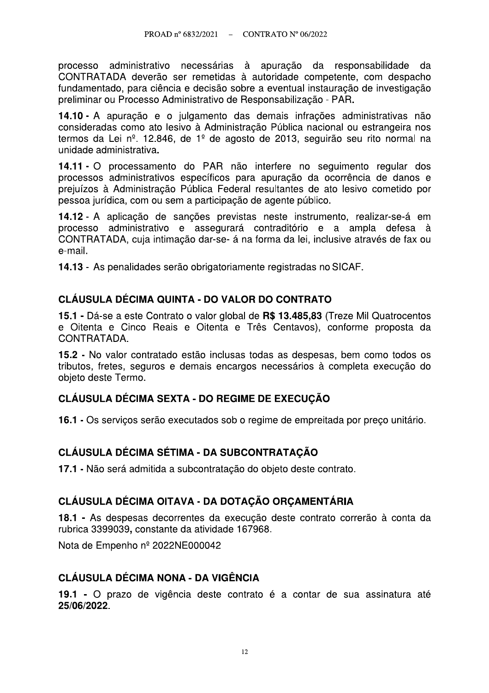processo administrativo necessárias à apuração da responsabilidade da CONTRATADA deverão ser remetidas à autoridade competente, com despacho fundamentado, para ciência e decisão sobre a eventual instauração de investigação preliminar ou Processo Administrativo de Responsabilização - PAR.

14.10 - A apuração e o julgamento das demais infrações administrativas não consideradas como ato lesivo à Administração Pública nacional ou estrangeira nos termos da Lei nº. 12.846, de 1º de agosto de 2013, seguirão seu rito normal na unidade administrativa.

14.11 - O processamento do PAR não interfere no seguimento regular dos processos administrativos específicos para apuração da ocorrência de danos e prejuízos à Administração Pública Federal resultantes de ato lesivo cometido por pessoa jurídica, com ou sem a participação de agente público.

14.12 - A aplicação de sanções previstas neste instrumento, realizar-se-á em processo administrativo e assegurará contraditório e a ampla defesa à CONTRATADA, cuja intimação dar-se- á na forma da lei, inclusive através de fax ou e-mail.

14.13 - As penalidades serão obrigatoriamente registradas no SICAF.

## CLÁUSULA DÉCIMA QUINTA - DO VALOR DO CONTRATO

15.1 - Dá-se a este Contrato o valor global de R\$ 13.485,83 (Treze Mil Quatrocentos e Oitenta e Cinco Reais e Oitenta e Três Centavos), conforme proposta da CONTRATADA.

15.2 - No valor contratado estão inclusas todas as despesas, bem como todos os tributos, fretes, seguros e demais encargos necessários à completa execução do objeto deste Termo.

## CLÁUSULA DÉCIMA SEXTA - DO REGIME DE EXECUÇÃO

16.1 - Os servicos serão executados sob o regime de empreitada por preco unitário.

## CLÁUSULA DÉCIMA SÉTIMA - DA SUBCONTRATAÇÃO

17.1 - Não será admitida a subcontratação do objeto deste contrato.

## CLÁUSULA DÉCIMA OITAVA - DA DOTACÃO ORCAMENTÁRIA

18.1 - As despesas decorrentes da execução deste contrato correrão à conta da rubrica 3399039, constante da atividade 167968.

Nota de Empenho nº 2022NE000042

#### **CLÁUSULA DÉCIMA NONA - DA VIGÊNCIA**

19.1 - O prazo de vigência deste contrato é a contar de sua assinatura até 25/06/2022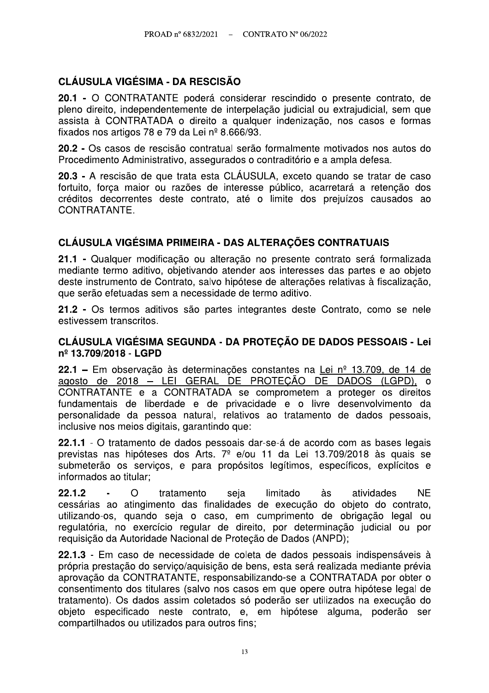## **CLÁUSULA VIGÉSIMA - DA RESCISÃO**

20.1 - O CONTRATANTE poderá considerar rescindido o presente contrato, de pleno direito, independentemente de interpelação judicial ou extrajudicial, sem que assista à CONTRATADA o direito a qualquer indenização, nos casos e formas fixados nos artigos 78 e 79 da Lei nº 8.666/93.

20.2 - Os casos de rescisão contratual serão formalmente motivados nos autos do Procedimento Administrativo, assegurados o contraditório e a ampla defesa.

20.3 - A rescisão de que trata esta CLÁUSULA, exceto quando se tratar de caso fortuito, força maior ou razões de interesse público, acarretará a retenção dos créditos decorrentes deste contrato, até o limite dos prejuízos causados ao CONTRATANTE.

#### CLÁUSULA VIGÉSIMA PRIMEIRA - DAS ALTERAÇÕES CONTRATUAIS

21.1 - Qualquer modificação ou alteração no presente contrato será formalizada mediante termo aditivo, objetivando atender aos interesses das partes e ao objeto deste instrumento de Contrato, salvo hipótese de alterações relativas à fiscalização, que serão efetuadas sem a necessidade de termo aditivo.

21.2 - Os termos aditivos são partes integrantes deste Contrato, como se nele estivessem transcritos.

#### CLÁUSULA VIGÉSIMA SEGUNDA - DA PROTECÃO DE DADOS PESSOAIS - Lei nº 13.709/2018 - LGPD

22.1 – Em observação às determinações constantes na Lei nº 13.709, de 14 de agosto de 2018 - LEI GERAL DE PROTEÇÃO DE DADOS (LGPD). o CONTRATANTE e a CONTRATADA se comprometem a proteger os direitos fundamentais de liberdade e de privacidade e o livre desenvolvimento da personalidade da pessoa natural, relativos ao tratamento de dados pessoais, inclusive nos meios digitais, garantindo que:

22.1.1 - O tratamento de dados pessoais dar-se-á de acordo com as bases legais previstas nas hipóteses dos Arts. 7<sup>º</sup> e/ou 11 da Lei 13.709/2018 às quais se submeterão os serviços, e para propósitos legítimos, específicos, explícitos e informados ao titular:

 $22.1.2$  $\Omega$ tratamento seja limitado às atividades **NF** cessárias ao atingimento das finalidades de execução do objeto do contrato, utilizando-os, quando seja o caso, em cumprimento de obrigação legal ou regulatória, no exercício regular de direito, por determinação judicial ou por requisição da Autoridade Nacional de Proteção de Dados (ANPD);

22.1.3 - Em caso de necessidade de coleta de dados pessoais indispensáveis à própria prestação do servico/aguisição de bens, esta será realizada mediante prévia aprovação da CONTRATANTE, responsabilizando-se a CONTRATADA por obter o consentimento dos titulares (salvo nos casos em que opere outra hipótese legal de tratamento). Os dados assim coletados só poderão ser utilizados na execução do objeto especificado neste contrato, e, em hipótese alguma, poderão ser compartilhados ou utilizados para outros fins;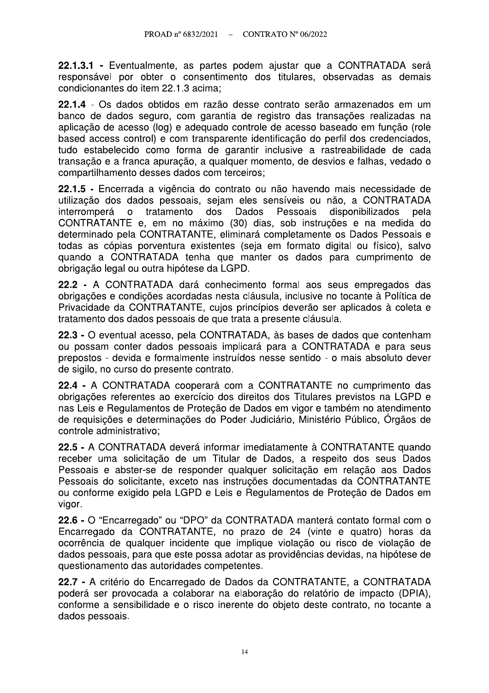22.1.3.1 - Eventualmente, as partes podem ajustar que a CONTRATADA será responsável por obter o consentimento dos titulares, observadas as demais condicionantes do item 22.1.3 acima:

22.1.4 - Os dados obtidos em razão desse contrato serão armazenados em um banco de dados seguro, com garantia de registro das transações realizadas na aplicação de acesso (log) e adequado controle de acesso baseado em função (role based access control) e com transparente identificação do perfil dos credenciados, tudo estabelecido como forma de garantir inclusive a rastreabilidade de cada transação e a franca apuração, a qualquer momento, de desvios e falhas, vedado o compartilhamento desses dados com terceiros;

22.1.5 - Encerrada a vigência do contrato ou não havendo mais necessidade de utilização dos dados pessoais, sejam eles sensíveis ou não, a CONTRATADA interromperá tratamento dos Dados Pessoais  $\circ$ disponibilizados pela CONTRATANTE e, em no máximo (30) dias, sob instruções e na medida do determinado pela CONTRATANTE, eliminará completamente os Dados Pessoais e todas as cópias porventura existentes (seja em formato digital ou físico), salvo quando a CONTRATADA tenha que manter os dados para cumprimento de obrigação legal ou outra hipótese da LGPD.

22.2 - A CONTRATADA dará conhecimento formal aos seus empregados das obrigações e condições acordadas nesta cláusula, inclusive no tocante à Política de Privacidade da CONTRATANTE, cujos princípios deverão ser aplicados à coleta e tratamento dos dados pessoais de que trata a presente cláusula.

22.3 - O eventual acesso, pela CONTRATADA, às bases de dados que contenham ou possam conter dados pessoais implicará para a CONTRATADA e para seus prepostos - devida e formalmente instruídos nesse sentido - o mais absoluto dever de sigilo, no curso do presente contrato.

22.4 - A CONTRATADA cooperará com a CONTRATANTE no cumprimento das obrigações referentes ao exercício dos direitos dos Titulares previstos na LGPD e nas Leis e Regulamentos de Proteção de Dados em vigor e também no atendimento de requisições e determinações do Poder Judiciário, Ministério Público, Órgãos de controle administrativo:

22.5 - A CONTRATADA deverá informar imediatamente à CONTRATANTE quando receber uma solicitação de um Titular de Dados, a respeito dos seus Dados Pessoais e abster-se de responder qualquer solicitação em relação aos Dados Pessoais do solicitante, exceto nas instruções documentadas da CONTRATANTE ou conforme exigido pela LGPD e Leis e Regulamentos de Proteção de Dados em vigor.

22.6 - O "Encarregado" ou "DPO" da CONTRATADA manterá contato formal com o Encarregado da CONTRATANTE, no prazo de 24 (vinte e quatro) horas da ocorrência de qualquer incidente que implique violação ou risco de violação de dados pessoais, para que este possa adotar as providências devidas, na hipótese de questionamento das autoridades competentes.

22.7 - A critério do Encarregado de Dados da CONTRATANTE, a CONTRATADA poderá ser provocada a colaborar na elaboração do relatório de impacto (DPIA), conforme a sensibilidade e o risco inerente do objeto deste contrato, no tocante a dados pessoais.